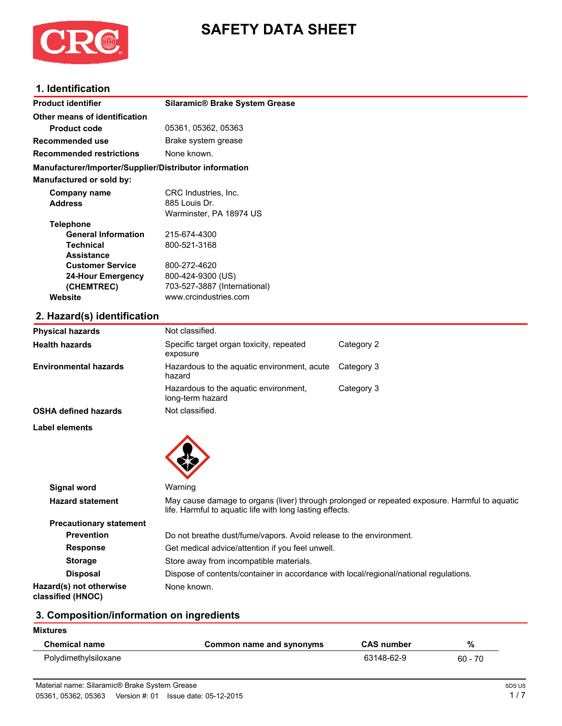

# **SAFETY DATA SHEET**

#### **1. Identification**

| <b>Product identifier</b>                              | <b>Silaramic® Brake System Grease</b> |  |
|--------------------------------------------------------|---------------------------------------|--|
| Other means of identification                          |                                       |  |
| <b>Product code</b>                                    | 05361, 05362, 05363                   |  |
| Recommended use                                        | Brake system grease                   |  |
| <b>Recommended restrictions</b>                        | None known.                           |  |
| Manufacturer/Importer/Supplier/Distributor information |                                       |  |
| <b>Manufactured or sold by:</b>                        |                                       |  |
| Company name                                           | CRC Industries, Inc.                  |  |
| <b>Address</b>                                         | 885 Louis Dr.                         |  |
|                                                        | Warminster, PA 18974 US               |  |
| <b>Telephone</b>                                       |                                       |  |
| <b>General Information</b>                             | 215-674-4300                          |  |
| <b>Technical</b>                                       | 800-521-3168                          |  |
| <b>Assistance</b>                                      |                                       |  |
| <b>Customer Service</b>                                | 800-272-4620                          |  |
| 24-Hour Emergency                                      | 800-424-9300 (US)                     |  |
| (CHEMTREC)                                             | 703-527-3887 (International)          |  |
| Website                                                | www.crcindustries.com                 |  |
|                                                        |                                       |  |

## **2. Hazard(s) identification**

| <b>Physical hazards</b>                      | Not classified.                                                                                                                                           |            |
|----------------------------------------------|-----------------------------------------------------------------------------------------------------------------------------------------------------------|------------|
| <b>Health hazards</b>                        | Specific target organ toxicity, repeated<br>exposure                                                                                                      | Category 2 |
| Environmental hazards                        | Hazardous to the aquatic environment, acute<br>hazard                                                                                                     | Category 3 |
|                                              | Hazardous to the aquatic environment,<br>long-term hazard                                                                                                 | Category 3 |
| OSHA defined hazards                         | Not classified.                                                                                                                                           |            |
| Label elements                               |                                                                                                                                                           |            |
| <b>Signal word</b>                           | Warning                                                                                                                                                   |            |
| <b>Hazard statement</b>                      | May cause damage to organs (liver) through prolonged or repeated exposure. Harmful to aquatic<br>life. Harmful to aquatic life with long lasting effects. |            |
| <b>Precautionary statement</b>               |                                                                                                                                                           |            |
| <b>Prevention</b>                            | Do not breathe dust/fume/vapors. Avoid release to the environment.                                                                                        |            |
| <b>Response</b>                              | Get medical advice/attention if you feel unwell.                                                                                                          |            |
| <b>Storage</b>                               | Store away from incompatible materials.                                                                                                                   |            |
| <b>Disposal</b>                              | Dispose of contents/container in accordance with local/regional/national regulations.                                                                     |            |
| Hazard(s) not otherwise<br>classified (HNOC) | None known.                                                                                                                                               |            |

#### **3. Composition/information on ingredients**

| <b>Mixtures</b>      |                          |                   |           |
|----------------------|--------------------------|-------------------|-----------|
| <b>Chemical name</b> | Common name and synonyms | <b>CAS number</b> | %         |
| Polydimethylsiloxane |                          | 63148-62-9        | $60 - 70$ |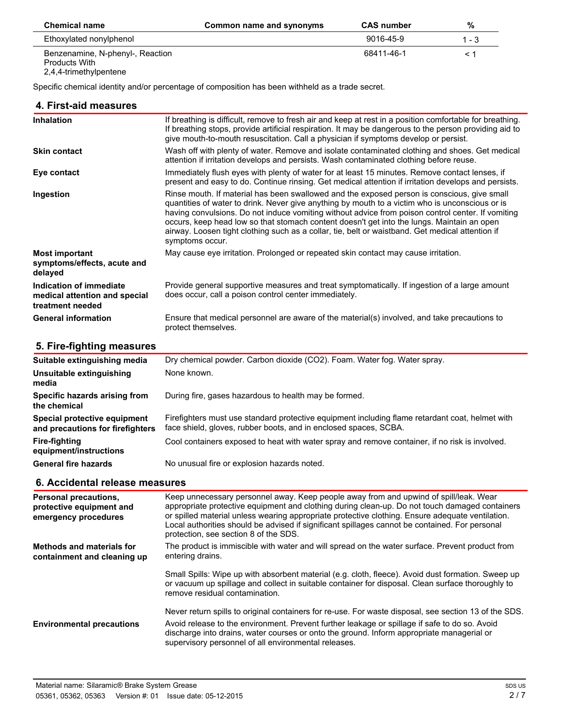| <b>Chemical name</b>                              | Common name and synonyms | <b>CAS number</b> | %     |
|---------------------------------------------------|--------------------------|-------------------|-------|
| Ethoxylated nonylphenol                           |                          | 9016-45-9         | 1 - 3 |
| Benzenamine, N-phenyl-, Reaction<br>Products With |                          | 68411-46-1        |       |

2,4,4-trimethylpentene

Specific chemical identity and/or percentage of composition has been withheld as a trade secret.

#### **4. First-aid measures**

| <b>Inhalation</b>                                                            | If breathing is difficult, remove to fresh air and keep at rest in a position comfortable for breathing.<br>If breathing stops, provide artificial respiration. It may be dangerous to the person providing aid to<br>give mouth-to-mouth resuscitation. Call a physician if symptoms develop or persist.                                                                                                                                                                                                                |
|------------------------------------------------------------------------------|--------------------------------------------------------------------------------------------------------------------------------------------------------------------------------------------------------------------------------------------------------------------------------------------------------------------------------------------------------------------------------------------------------------------------------------------------------------------------------------------------------------------------|
| <b>Skin contact</b>                                                          | Wash off with plenty of water. Remove and isolate contaminated clothing and shoes. Get medical<br>attention if irritation develops and persists. Wash contaminated clothing before reuse.                                                                                                                                                                                                                                                                                                                                |
| Eye contact                                                                  | Immediately flush eyes with plenty of water for at least 15 minutes. Remove contact lenses, if<br>present and easy to do. Continue rinsing. Get medical attention if irritation develops and persists.                                                                                                                                                                                                                                                                                                                   |
| Ingestion                                                                    | Rinse mouth. If material has been swallowed and the exposed person is conscious, give small<br>quantities of water to drink. Never give anything by mouth to a victim who is unconscious or is<br>having convulsions. Do not induce vomiting without advice from poison control center. If vomiting<br>occurs, keep head low so that stomach content doesn't get into the lungs. Maintain an open<br>airway. Loosen tight clothing such as a collar, tie, belt or waistband. Get medical attention if<br>symptoms occur. |
| <b>Most important</b><br>symptoms/effects, acute and<br>delayed              | May cause eye irritation. Prolonged or repeated skin contact may cause irritation.                                                                                                                                                                                                                                                                                                                                                                                                                                       |
| Indication of immediate<br>medical attention and special<br>treatment needed | Provide general supportive measures and treat symptomatically. If ingestion of a large amount<br>does occur, call a poison control center immediately.                                                                                                                                                                                                                                                                                                                                                                   |
| <b>General information</b>                                                   | Ensure that medical personnel are aware of the material(s) involved, and take precautions to<br>protect themselves.                                                                                                                                                                                                                                                                                                                                                                                                      |

#### **5. Fire-fighting measures**

| Suitable extinguishing media                                     | Dry chemical powder. Carbon dioxide (CO2). Foam. Water fog. Water spray.                                                                                            |
|------------------------------------------------------------------|---------------------------------------------------------------------------------------------------------------------------------------------------------------------|
| Unsuitable extinguishing<br>media                                | None known.                                                                                                                                                         |
| Specific hazards arising from<br>the chemical                    | During fire, gases hazardous to health may be formed.                                                                                                               |
| Special protective equipment<br>and precautions for firefighters | Firefighters must use standard protective equipment including flame retardant coat, helmet with<br>face shield, gloves, rubber boots, and in enclosed spaces, SCBA. |
| Fire-fighting<br>equipment/instructions                          | Cool containers exposed to heat with water spray and remove container, if no risk is involved.                                                                      |
| <b>General fire hazards</b>                                      | No unusual fire or explosion hazards noted.                                                                                                                         |

#### **6. Accidental release measures**

| <b>Personal precautions,</b><br>protective equipment and<br>emergency procedures | Keep unnecessary personnel away. Keep people away from and upwind of spill/leak. Wear<br>appropriate protective equipment and clothing during clean-up. Do not touch damaged containers<br>or spilled material unless wearing appropriate protective clothing. Ensure adequate ventilation.<br>Local authorities should be advised if significant spillages cannot be contained. For personal<br>protection, see section 8 of the SDS. |
|----------------------------------------------------------------------------------|----------------------------------------------------------------------------------------------------------------------------------------------------------------------------------------------------------------------------------------------------------------------------------------------------------------------------------------------------------------------------------------------------------------------------------------|
| <b>Methods and materials for</b><br>containment and cleaning up                  | The product is immiscible with water and will spread on the water surface. Prevent product from<br>entering drains.                                                                                                                                                                                                                                                                                                                    |
|                                                                                  | Small Spills: Wipe up with absorbent material (e.g. cloth, fleece). Avoid dust formation. Sweep up<br>or vacuum up spillage and collect in suitable container for disposal. Clean surface thoroughly to<br>remove residual contamination.                                                                                                                                                                                              |
|                                                                                  | Never return spills to original containers for re-use. For waste disposal, see section 13 of the SDS.                                                                                                                                                                                                                                                                                                                                  |
| <b>Environmental precautions</b>                                                 | Avoid release to the environment. Prevent further leakage or spillage if safe to do so. Avoid<br>discharge into drains, water courses or onto the ground. Inform appropriate managerial or<br>supervisory personnel of all environmental releases.                                                                                                                                                                                     |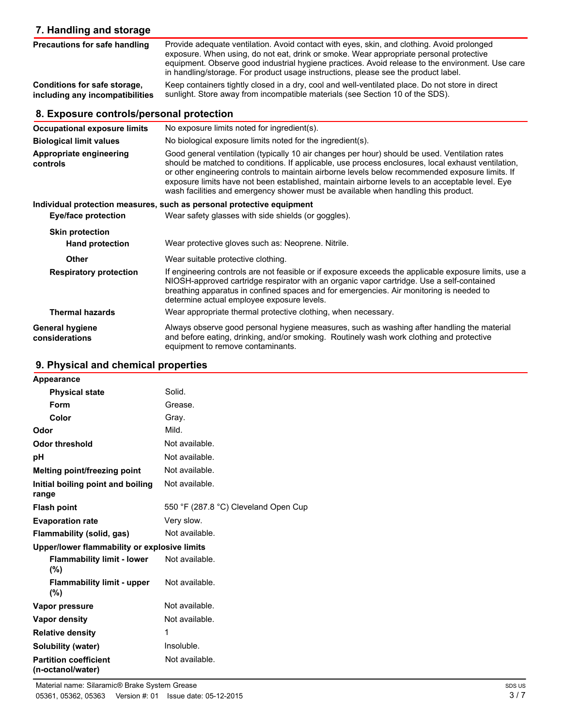| 7. Handling and storage                                         |                                                                                                                                                                                                                                                                                                                                                                                                                                                                                                  |
|-----------------------------------------------------------------|--------------------------------------------------------------------------------------------------------------------------------------------------------------------------------------------------------------------------------------------------------------------------------------------------------------------------------------------------------------------------------------------------------------------------------------------------------------------------------------------------|
| Precautions for safe handling                                   | Provide adequate ventilation. Avoid contact with eyes, skin, and clothing. Avoid prolonged<br>exposure. When using, do not eat, drink or smoke. Wear appropriate personal protective<br>equipment. Observe good industrial hygiene practices. Avoid release to the environment. Use care<br>in handling/storage. For product usage instructions, please see the product label.                                                                                                                   |
| Conditions for safe storage,<br>including any incompatibilities | Keep containers tightly closed in a dry, cool and well-ventilated place. Do not store in direct<br>sunlight. Store away from incompatible materials (see Section 10 of the SDS).                                                                                                                                                                                                                                                                                                                 |
| 8. Exposure controls/personal protection                        |                                                                                                                                                                                                                                                                                                                                                                                                                                                                                                  |
| <b>Occupational exposure limits</b>                             | No exposure limits noted for ingredient(s).                                                                                                                                                                                                                                                                                                                                                                                                                                                      |
| <b>Biological limit values</b>                                  | No biological exposure limits noted for the ingredient(s).                                                                                                                                                                                                                                                                                                                                                                                                                                       |
| Appropriate engineering<br>controls                             | Good general ventilation (typically 10 air changes per hour) should be used. Ventilation rates<br>should be matched to conditions. If applicable, use process enclosures, local exhaust ventilation,<br>or other engineering controls to maintain airborne levels below recommended exposure limits. If<br>exposure limits have not been established, maintain airborne levels to an acceptable level. Eye<br>wash facilities and emergency shower must be available when handling this product. |
|                                                                 | Individual protection measures, such as personal protective equipment                                                                                                                                                                                                                                                                                                                                                                                                                            |
| <b>Eye/face protection</b>                                      | Wear safety glasses with side shields (or goggles).                                                                                                                                                                                                                                                                                                                                                                                                                                              |
| <b>Skin protection</b>                                          |                                                                                                                                                                                                                                                                                                                                                                                                                                                                                                  |
| <b>Hand protection</b>                                          | Wear protective gloves such as: Neoprene. Nitrile.                                                                                                                                                                                                                                                                                                                                                                                                                                               |
| Other                                                           | Wear suitable protective clothing.                                                                                                                                                                                                                                                                                                                                                                                                                                                               |
| <b>Respiratory protection</b>                                   | If engineering controls are not feasible or if exposure exceeds the applicable exposure limits, use a<br>NIOSH-approved cartridge respirator with an organic vapor cartridge. Use a self-contained<br>breathing apparatus in confined spaces and for emergencies. Air monitoring is needed to<br>determine actual employee exposure levels.                                                                                                                                                      |
| <b>Thermal hazards</b>                                          | Wear appropriate thermal protective clothing, when necessary.                                                                                                                                                                                                                                                                                                                                                                                                                                    |
| <b>General hygiene</b><br>considerations                        | Always observe good personal hygiene measures, such as washing after handling the material<br>and before eating, drinking, and/or smoking. Routinely wash work clothing and protective<br>equipment to remove contaminants.                                                                                                                                                                                                                                                                      |

# **9. Physical and chemical properties**

| Appearance                                        |                                      |
|---------------------------------------------------|--------------------------------------|
| <b>Physical state</b>                             | Solid.                               |
| Form                                              | Grease.                              |
| Color                                             | Gray.                                |
| Odor                                              | Mild.                                |
| <b>Odor threshold</b>                             | Not available.                       |
| pH                                                | Not available.                       |
| Melting point/freezing point                      | Not available.                       |
| Initial boiling point and boiling<br>range        | Not available.                       |
| <b>Flash point</b>                                | 550 °F (287.8 °C) Cleveland Open Cup |
| <b>Evaporation rate</b>                           | Very slow.                           |
| Flammability (solid, gas)                         | Not available.                       |
| Upper/lower flammability or explosive limits      |                                      |
| <b>Flammability limit - lower</b><br>$(\%)$       | Not available.                       |
| <b>Flammability limit - upper</b><br>$(\%)$       | Not available.                       |
| Vapor pressure                                    | Not available.                       |
| Vapor density                                     | Not available.                       |
| <b>Relative density</b>                           | 1                                    |
| Solubility (water)                                | Insoluble.                           |
| <b>Partition coefficient</b><br>(n-octanol/water) | Not available.                       |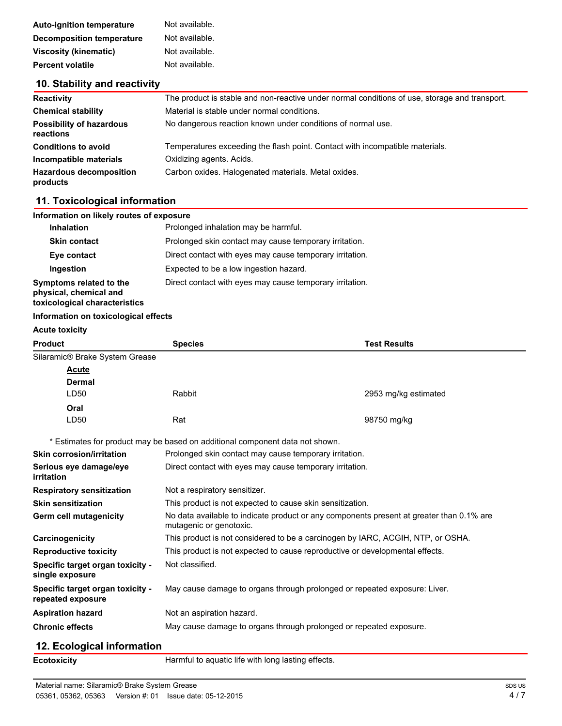| <b>Auto-ignition temperature</b> | Not available. |
|----------------------------------|----------------|
| Decomposition temperature        | Not available. |
| <b>Viscosity (kinematic)</b>     | Not available. |
| <b>Percent volatile</b>          | Not available. |

## **10. Stability and reactivity**

| <b>Reactivity</b>                            | The product is stable and non-reactive under normal conditions of use, storage and transport. |
|----------------------------------------------|-----------------------------------------------------------------------------------------------|
| <b>Chemical stability</b>                    | Material is stable under normal conditions.                                                   |
| <b>Possibility of hazardous</b><br>reactions | No dangerous reaction known under conditions of normal use.                                   |
| <b>Conditions to avoid</b>                   | Temperatures exceeding the flash point. Contact with incompatible materials.                  |
| Incompatible materials                       | Oxidizing agents. Acids.                                                                      |
| <b>Hazardous decomposition</b><br>products   | Carbon oxides. Halogenated materials. Metal oxides.                                           |

#### **11. Toxicological information**

| Information on likely routes of exposure                                           |                                                          |  |
|------------------------------------------------------------------------------------|----------------------------------------------------------|--|
| <b>Inhalation</b>                                                                  | Prolonged inhalation may be harmful.                     |  |
| <b>Skin contact</b>                                                                | Prolonged skin contact may cause temporary irritation.   |  |
| Eye contact                                                                        | Direct contact with eyes may cause temporary irritation. |  |
| Ingestion                                                                          | Expected to be a low ingestion hazard.                   |  |
| Symptoms related to the<br>physical, chemical and<br>toxicological characteristics | Direct contact with eyes may cause temporary irritation. |  |

#### **Information on toxicological effects**

| <b>Acute toxicity</b>                                 |                                                                                                                     |                      |
|-------------------------------------------------------|---------------------------------------------------------------------------------------------------------------------|----------------------|
| <b>Product</b>                                        | <b>Species</b>                                                                                                      | <b>Test Results</b>  |
| Silaramic® Brake System Grease                        |                                                                                                                     |                      |
| Acute                                                 |                                                                                                                     |                      |
| <b>Dermal</b>                                         |                                                                                                                     |                      |
| LD50                                                  | Rabbit                                                                                                              | 2953 mg/kg estimated |
| Oral                                                  |                                                                                                                     |                      |
| LD <sub>50</sub>                                      | Rat                                                                                                                 | 98750 mg/kg          |
|                                                       | * Estimates for product may be based on additional component data not shown.                                        |                      |
| <b>Skin corrosion/irritation</b>                      | Prolonged skin contact may cause temporary irritation.                                                              |                      |
| Serious eye damage/eye<br>irritation                  | Direct contact with eyes may cause temporary irritation.                                                            |                      |
| <b>Respiratory sensitization</b>                      | Not a respiratory sensitizer.                                                                                       |                      |
| <b>Skin sensitization</b>                             | This product is not expected to cause skin sensitization.                                                           |                      |
| <b>Germ cell mutagenicity</b>                         | No data available to indicate product or any components present at greater than 0.1% are<br>mutagenic or genotoxic. |                      |
| Carcinogenicity                                       | This product is not considered to be a carcinogen by IARC, ACGIH, NTP, or OSHA.                                     |                      |
| <b>Reproductive toxicity</b>                          | This product is not expected to cause reproductive or developmental effects.                                        |                      |
| Specific target organ toxicity -<br>single exposure   | Not classified.                                                                                                     |                      |
| Specific target organ toxicity -<br>repeated exposure | May cause damage to organs through prolonged or repeated exposure: Liver.                                           |                      |
| <b>Aspiration hazard</b>                              | Not an aspiration hazard.                                                                                           |                      |
| <b>Chronic effects</b>                                | May cause damage to organs through prolonged or repeated exposure.                                                  |                      |
| 12. Ecological information                            |                                                                                                                     |                      |

#### **Ecotoxicity Harmful to aquatic life with long lasting effects.**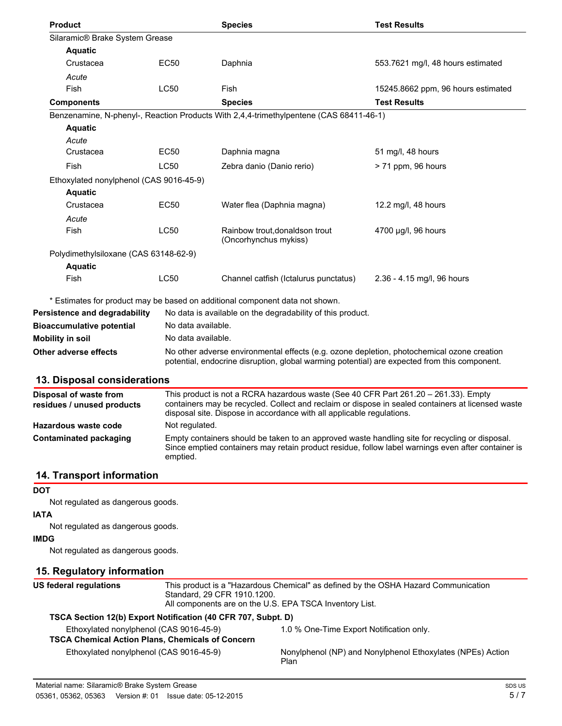| <b>Product</b>                          |                    | <b>Species</b>                                                                                                                                                                                         | <b>Test Results</b>                |
|-----------------------------------------|--------------------|--------------------------------------------------------------------------------------------------------------------------------------------------------------------------------------------------------|------------------------------------|
| Silaramic® Brake System Grease          |                    |                                                                                                                                                                                                        |                                    |
| <b>Aquatic</b>                          |                    |                                                                                                                                                                                                        |                                    |
| Crustacea                               | <b>EC50</b>        | Daphnia                                                                                                                                                                                                | 553.7621 mg/l, 48 hours estimated  |
| Acute                                   |                    |                                                                                                                                                                                                        |                                    |
| Fish                                    | <b>LC50</b>        | Fish                                                                                                                                                                                                   | 15245.8662 ppm, 96 hours estimated |
| <b>Components</b>                       |                    | <b>Species</b>                                                                                                                                                                                         | <b>Test Results</b>                |
|                                         |                    | Benzenamine, N-phenyl-, Reaction Products With 2,4,4-trimethylpentene (CAS 68411-46-1)                                                                                                                 |                                    |
| <b>Aquatic</b>                          |                    |                                                                                                                                                                                                        |                                    |
| Acute                                   |                    |                                                                                                                                                                                                        |                                    |
| Crustacea                               | EC50               | Daphnia magna                                                                                                                                                                                          | 51 mg/l, 48 hours                  |
| Fish                                    | <b>LC50</b>        | Zebra danio (Danio rerio)                                                                                                                                                                              | > 71 ppm, 96 hours                 |
| Ethoxylated nonylphenol (CAS 9016-45-9) |                    |                                                                                                                                                                                                        |                                    |
| <b>Aquatic</b>                          |                    |                                                                                                                                                                                                        |                                    |
| Crustacea                               | <b>EC50</b>        | Water flea (Daphnia magna)                                                                                                                                                                             | 12.2 mg/l, 48 hours                |
| Acute                                   |                    |                                                                                                                                                                                                        |                                    |
| Fish                                    | <b>LC50</b>        | Rainbow trout, donaldson trout<br>(Oncorhynchus mykiss)                                                                                                                                                | 4700 µg/l, 96 hours                |
| Polydimethylsiloxane (CAS 63148-62-9)   |                    |                                                                                                                                                                                                        |                                    |
| <b>Aquatic</b>                          |                    |                                                                                                                                                                                                        |                                    |
| Fish                                    | <b>LC50</b>        | Channel catfish (Ictalurus punctatus)                                                                                                                                                                  | 2.36 - 4.15 mg/l, 96 hours         |
|                                         |                    | * Estimates for product may be based on additional component data not shown.                                                                                                                           |                                    |
| Persistence and degradability           |                    | No data is available on the degradability of this product.                                                                                                                                             |                                    |
| <b>Bioaccumulative potential</b>        | No data available. |                                                                                                                                                                                                        |                                    |
| <b>Mobility in soil</b>                 |                    | No data available.                                                                                                                                                                                     |                                    |
| Other adverse effects                   |                    | No other adverse environmental effects (e.g. ozone depletion, photochemical ozone creation<br>potential, endocrine disruption, global warming potential) are expected from this component.             |                                    |
| 13. Disposal considerations             |                    |                                                                                                                                                                                                        |                                    |
| Disposal of waste from                  |                    | This product is not a RCRA hazardous waste (See 40 CFR Part 261.20 - 261.33). Empty<br>can provided the local Callege and selection as disposed in each of a protein and the control of the control of |                                    |

| residues / unused products | containers may be recycled. Collect and reclaim or dispose in sealed containers at licensed waste<br>disposal site. Dispose in accordance with all applicable regulations.                                       |
|----------------------------|------------------------------------------------------------------------------------------------------------------------------------------------------------------------------------------------------------------|
| Hazardous waste code       | Not regulated.                                                                                                                                                                                                   |
| Contaminated packaging     | Empty containers should be taken to an approved waste handling site for recycling or disposal.<br>Since emptied containers may retain product residue, follow label warnings even after container is<br>emptied. |

# **14. Transport information**

**DOT**

Not regulated as dangerous goods.

#### **IATA**

Not regulated as dangerous goods.

# **IMDG**

Not regulated as dangerous goods.

# **15. Regulatory information**

| US federal regulations | This product is a "Hazardous Chemical" as defined by the OSHA Hazard Communication<br>Standard, 29 CFR 1910.1200.<br>All components are on the U.S. EPA TSCA Inventory List. |                                                                    |
|------------------------|------------------------------------------------------------------------------------------------------------------------------------------------------------------------------|--------------------------------------------------------------------|
|                        | TSCA Section 12(b) Export Notification (40 CFR 707, Subpt. D)                                                                                                                |                                                                    |
|                        | Ethoxylated nonylphenol (CAS 9016-45-9)                                                                                                                                      | 1.0 % One-Time Export Notification only.                           |
|                        | <b>TSCA Chemical Action Plans, Chemicals of Concern</b>                                                                                                                      |                                                                    |
|                        | Ethoxylated nonylphenol (CAS 9016-45-9)                                                                                                                                      | Nonylphenol (NP) and Nonylphenol Ethoxylates (NPEs) Action<br>Plan |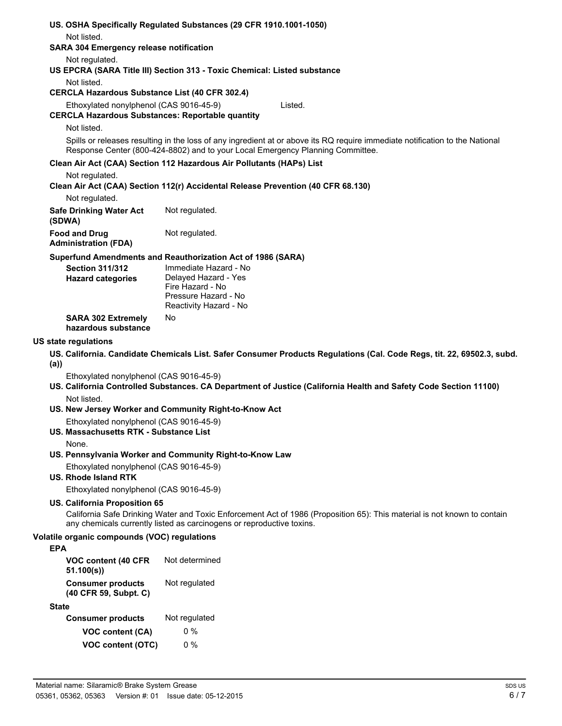|            |                                                                                                    | US. OSHA Specifically Regulated Substances (29 CFR 1910.1001-1050)                                                                                                                                             |
|------------|----------------------------------------------------------------------------------------------------|----------------------------------------------------------------------------------------------------------------------------------------------------------------------------------------------------------------|
|            | Not listed.<br><b>SARA 304 Emergency release notification</b>                                      |                                                                                                                                                                                                                |
|            | Not regulated.                                                                                     | US EPCRA (SARA Title III) Section 313 - Toxic Chemical: Listed substance                                                                                                                                       |
|            | Not listed.                                                                                        |                                                                                                                                                                                                                |
|            | <b>CERCLA Hazardous Substance List (40 CFR 302.4)</b>                                              |                                                                                                                                                                                                                |
|            | Ethoxylated nonylphenol (CAS 9016-45-9)<br><b>CERCLA Hazardous Substances: Reportable quantity</b> | Listed.                                                                                                                                                                                                        |
|            | Not listed.                                                                                        |                                                                                                                                                                                                                |
|            |                                                                                                    | Spills or releases resulting in the loss of any ingredient at or above its RQ require immediate notification to the National<br>Response Center (800-424-8802) and to your Local Emergency Planning Committee. |
|            |                                                                                                    | Clean Air Act (CAA) Section 112 Hazardous Air Pollutants (HAPs) List                                                                                                                                           |
|            | Not regulated.                                                                                     | Clean Air Act (CAA) Section 112(r) Accidental Release Prevention (40 CFR 68.130)                                                                                                                               |
|            | Not regulated.                                                                                     |                                                                                                                                                                                                                |
|            | <b>Safe Drinking Water Act</b><br>(SDWA)                                                           | Not regulated.                                                                                                                                                                                                 |
|            | <b>Food and Drug</b><br><b>Administration (FDA)</b>                                                | Not regulated.                                                                                                                                                                                                 |
|            |                                                                                                    | Superfund Amendments and Reauthorization Act of 1986 (SARA)                                                                                                                                                    |
|            | <b>Section 311/312</b>                                                                             | Immediate Hazard - No<br>Delayed Hazard - Yes                                                                                                                                                                  |
|            | <b>Hazard categories</b>                                                                           | Fire Hazard - No                                                                                                                                                                                               |
|            |                                                                                                    | Pressure Hazard - No                                                                                                                                                                                           |
|            |                                                                                                    | Reactivity Hazard - No                                                                                                                                                                                         |
|            | <b>SARA 302 Extremely</b><br>hazardous substance                                                   | No                                                                                                                                                                                                             |
|            | US state regulations                                                                               |                                                                                                                                                                                                                |
| (a)        |                                                                                                    | US. California. Candidate Chemicals List. Safer Consumer Products Regulations (Cal. Code Regs, tit. 22, 69502.3, subd.                                                                                         |
|            | Ethoxylated nonylphenol (CAS 9016-45-9)                                                            | US. California Controlled Substances. CA Department of Justice (California Health and Safety Code Section 11100)                                                                                               |
|            | Not listed.                                                                                        |                                                                                                                                                                                                                |
|            |                                                                                                    | US. New Jersey Worker and Community Right-to-Know Act                                                                                                                                                          |
|            | Ethoxylated nonylphenol (CAS 9016-45-9)<br>US. Massachusetts RTK - Substance List                  |                                                                                                                                                                                                                |
|            | None.                                                                                              | US. Pennsylvania Worker and Community Right-to-Know Law                                                                                                                                                        |
|            |                                                                                                    |                                                                                                                                                                                                                |
|            | Ethoxylated nonylphenol (CAS 9016-45-9)<br>US. Rhode Island RTK                                    |                                                                                                                                                                                                                |
|            | Ethoxylated nonylphenol (CAS 9016-45-9)                                                            |                                                                                                                                                                                                                |
|            | <b>US. California Proposition 65</b>                                                               | California Safe Drinking Water and Toxic Enforcement Act of 1986 (Proposition 65): This material is not known to contain<br>any chemicals currently listed as carcinogens or reproductive toxins.              |
|            | Volatile organic compounds (VOC) regulations                                                       |                                                                                                                                                                                                                |
| <b>EPA</b> |                                                                                                    |                                                                                                                                                                                                                |
|            | VOC content (40 CFR<br>51.100(s)                                                                   | Not determined                                                                                                                                                                                                 |
|            | <b>Consumer products</b><br>(40 CFR 59, Subpt. C)                                                  | Not regulated                                                                                                                                                                                                  |
|            | <b>State</b>                                                                                       |                                                                                                                                                                                                                |
|            | <b>Consumer products</b>                                                                           | Not regulated                                                                                                                                                                                                  |
|            | VOC content (CA)                                                                                   | $0\%$                                                                                                                                                                                                          |
|            | <b>VOC content (OTC)</b>                                                                           | $0\%$                                                                                                                                                                                                          |
|            |                                                                                                    |                                                                                                                                                                                                                |